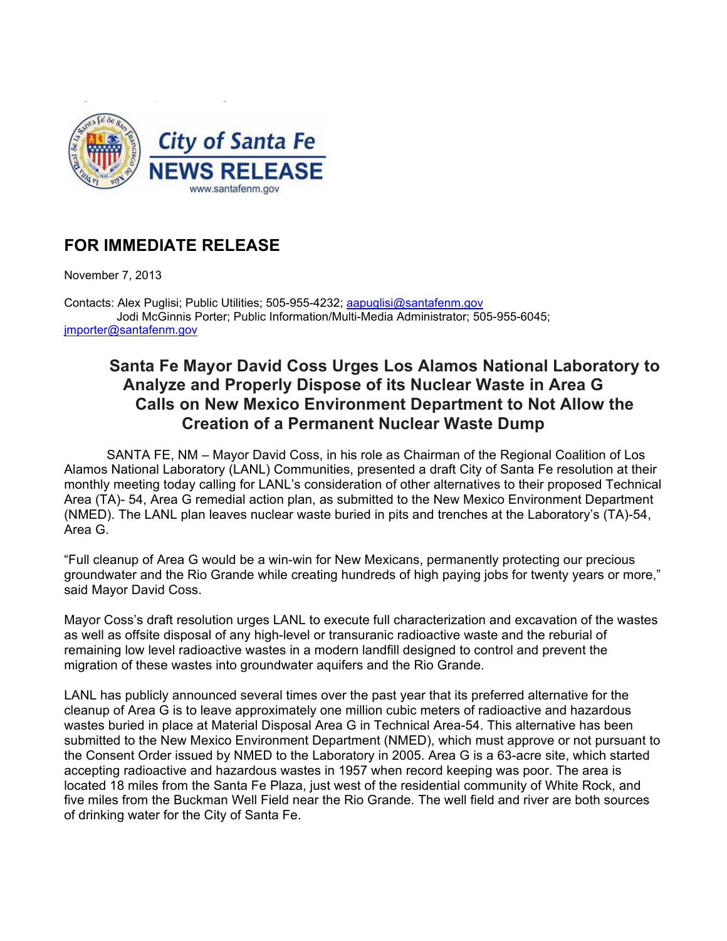

## **FOR IMMEDIATE RELEASE**

November 7, 2013

Contacts: Alex Puglisi; Public Utilities; 505-955-4232; aapuglisi@santafenm.gov Jodi McGinnis Porter; Public Information/Multi-Media Administrator; 505-955-6045; jmporter@santafenm.gov

## **Santa Fe Mayor David Coss Urges Los Alamos National Laboratory to Analyze and Properly Dispose of its Nuclear Waste in Area G Calls on New Mexico Environment Department to Not Allow the Creation of a Permanent Nuclear Waste Dump**

SANTA FE, NM – Mayor David Coss, in his role as Chairman of the Regional Coalition of Los Alamos National Laboratory (LANL) Communities, presented a draft City of Santa Fe resolution at their monthly meeting today calling for LANL's consideration of other alternatives to their proposed Technical Area (TA)- 54, Area G remedial action plan, as submitted to the New Mexico Environment Department (NMED). The LANL plan leaves nuclear waste buried in pits and trenches at the Laboratory's (TA)-54, Area G.

"Full cleanup of Area G would be a win-win for New Mexicans, permanently protecting our precious groundwater and the Rio Grande while creating hundreds of high paying jobs for twenty years or more," said Mayor David Coss.

Mayor Coss's draft resolution urges LANL to execute full characterization and excavation of the wastes as well as offsite disposal of any high-level or transuranic radioactive waste and the reburial of remaining low level radioactive wastes in a modern landfill designed to control and prevent the migration of these wastes into groundwater aquifers and the Rio Grande.

LANL has publicly announced several times over the past year that its preferred alternative for the cleanup of Area G is to leave approximately one million cubic meters of radioactive and hazardous wastes buried in place at Material Disposal Area G in Technical Area-54. This alternative has been submitted to the New Mexico Environment Department (NMED), which must approve or not pursuant to the Consent Order issued by NMED to the Laboratory in 2005. Area G is a 63-acre site, which started accepting radioactive and hazardous wastes in 1957 when record keeping was poor. The area is located 18 miles from the Santa Fe Plaza, just west of the residential community of White Rock, and five miles from the Buckman Well Field near the Rio Grande. The well field and river are both sources of drinking water for the City of Santa Fe.